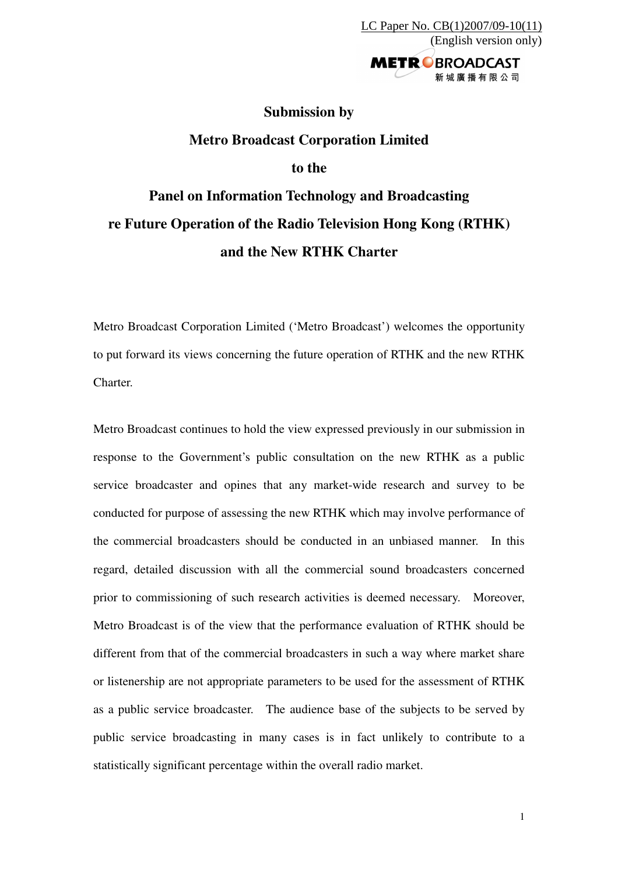新城廣播有限公司

**Submission by Metro Broadcast Corporation Limited to the Panel on Information Technology and Broadcasting re Future Operation of the Radio Television Hong Kong (RTHK) and the New RTHK Charter** 

Metro Broadcast Corporation Limited ('Metro Broadcast') welcomes the opportunity to put forward its views concerning the future operation of RTHK and the new RTHK **Charter** 

Metro Broadcast continues to hold the view expressed previously in our submission in response to the Government's public consultation on the new RTHK as a public service broadcaster and opines that any market-wide research and survey to be conducted for purpose of assessing the new RTHK which may involve performance of the commercial broadcasters should be conducted in an unbiased manner. In this regard, detailed discussion with all the commercial sound broadcasters concerned prior to commissioning of such research activities is deemed necessary. Moreover, Metro Broadcast is of the view that the performance evaluation of RTHK should be different from that of the commercial broadcasters in such a way where market share or listenership are not appropriate parameters to be used for the assessment of RTHK as a public service broadcaster. The audience base of the subjects to be served by public service broadcasting in many cases is in fact unlikely to contribute to a statistically significant percentage within the overall radio market.

1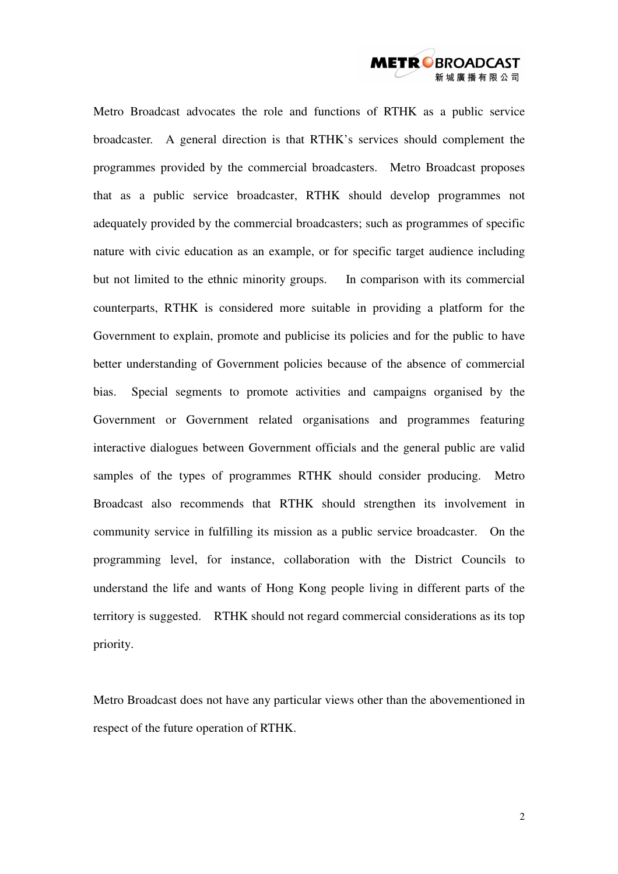

Metro Broadcast advocates the role and functions of RTHK as a public service broadcaster. A general direction is that RTHK's services should complement the programmes provided by the commercial broadcasters. Metro Broadcast proposes that as a public service broadcaster, RTHK should develop programmes not adequately provided by the commercial broadcasters; such as programmes of specific nature with civic education as an example, or for specific target audience including but not limited to the ethnic minority groups. In comparison with its commercial counterparts, RTHK is considered more suitable in providing a platform for the Government to explain, promote and publicise its policies and for the public to have better understanding of Government policies because of the absence of commercial bias. Special segments to promote activities and campaigns organised by the Government or Government related organisations and programmes featuring interactive dialogues between Government officials and the general public are valid samples of the types of programmes RTHK should consider producing. Metro Broadcast also recommends that RTHK should strengthen its involvement in community service in fulfilling its mission as a public service broadcaster. On the programming level, for instance, collaboration with the District Councils to understand the life and wants of Hong Kong people living in different parts of the territory is suggested. RTHK should not regard commercial considerations as its top priority.

Metro Broadcast does not have any particular views other than the abovementioned in respect of the future operation of RTHK.